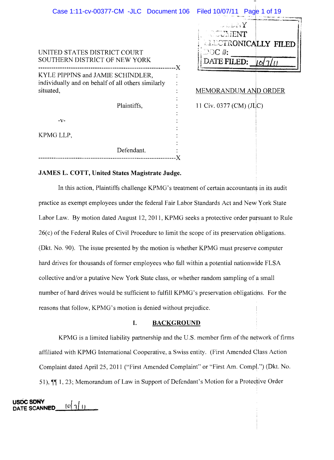| Case 1:11-cv-00377-CM -JLC Document 106                                                              |    | Filed 10/07/11 Page 1 of 19                                                                            |  |
|------------------------------------------------------------------------------------------------------|----|--------------------------------------------------------------------------------------------------------|--|
| UNITED STATES DISTRICT COURT<br>SOUTHERN DISTRICT OF NEW YORK                                        | -X | $\sim$ and and $\Upsilon$<br>COUNENT<br><b>ALECTRONICALLY FILED</b><br>$\bigcirc$ oc #:<br>DATE FILED: |  |
| KYLE PIPPINS and JAMIE SCHINDLER,<br>individually and on behalf of all others similarly<br>situated, |    | <b>MEMORANDUM AND ORDER</b>                                                                            |  |
| Plaintiffs,                                                                                          |    | 11 Civ. 0377 (CM) (JLC)                                                                                |  |
| -V-                                                                                                  |    |                                                                                                        |  |
| KPMG LLP,                                                                                            |    |                                                                                                        |  |
| Defendant.                                                                                           |    |                                                                                                        |  |

# **JAMES L. COTT, United States Magistrate Judge.**

In this action, Plaintiffs challenge KPMG's treatment of certain accountants in its audit practice as exempt employees under the federal Fair Labor Standards Act and New York State Labor Law. By motion dated August 12,2011, KPMG seeks a protective order pursuant to Rule 26( c) of the Federal Rules of Civil Procedure to limit the scope of its preservation obligations. (Dkt. No. 90). The issue presented by the motion is whether KPMG must preserve computer hard drives for thousands of former employees who fall within a potential nationwide FLSA collective and/or a putative New York State class, or whether random sampling of a small number of hard drives would be sufficient to fulfill KPMG's preservation obligations. For the reasons that follow, KPMG's motion is denied without prejudice.

---------------------------------------------------------------)(

# **I. BACKGROUND**

KPMG is a limited liability partnership and the U.S. member firm of the network of firms affiliated with KPMG International Cooperative, a Swiss entity. (First Amended Class Action Complaint dated April 25, 2011 ("First Amended Complaint" or "First Am. Compl.") (Dkt. No. 51),  $\P$ [1, 23; Memorandum of Law in Support of Defendant's Motion for a Protective Order

**USDC SDNY**  $|0|$   $1|$ DATE SCANNED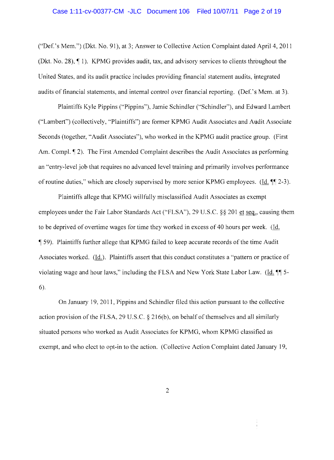#### Case 1:11-cv-00377-CM -JLC Document 106 Filed 10/07/11 Page 2 of 19

("Def.'s Mem.") (Dkt. No. 91), at 3; Answer to Collective Action Complaint dated April 4, 2011 (Dkt. No. 28),  $\P$  1). KPMG provides audit, tax, and advisory services to clients throughout the United States, and its audit practice includes providing financial statement audits, integrated audits of financial statements, and internal control over financial reporting. (Def.'s Mem. at 3).

Plaintiffs Kyle Pippins ("Pippins"), Jamie Schindler ("Schindler"), and Edward Lambert ("Lambert") (collectively, "Plaintiffs") are former KPMG Audit Associates and Audit Associate Seconds (together, "Audit Associates"), who worked in the KPMG audit practice group. (First Am. Compl.  $\lceil 2 \rceil$ . The First Amended Complaint describes the Audit Associates as performing an "entry-level job that requires no advanced level training and primarily involves performance of routine duties," which are closely supervised by more senior KPMG employees. ( $\underline{Id}$ .  $\P$  $[2-3)$ .

Plaintiffs allege that KPMG willfully misclassified Audit Associates as exempt employees under the Fair Labor Standards Act ("FLSA"), 29 U.S.C. §§ 201 et seq., causing them to be deprived of overtime wages for time they worked in excess of 40 hours per week. (ld. (' 59). Plaintiffs further allege that KPMG failed to keep accurate records of the time Audit Associates worked. (Id.). Plaintiffs assert that this conduct constitutes a "pattern or practice of violating wage and hour laws," including the FLSA and New York State Labor Law. (Id.  $\P$  5-6).

On January 19, 2011, Pippins and Schindler filed this action pursuant to the collective action provision of the FLSA, 29 U.S.C. § 216(b), on behalf of themselves and all similarly situated persons who worked as Audit Associates for KPMG, whom KPMG classified as exempt, and who elect to opt-in to the action. (Collective Action Complaint dated January 19,

2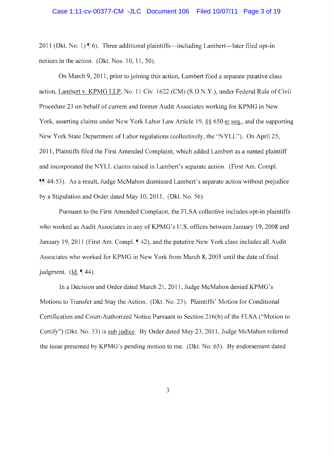#### Case 1:11-cv-00377-CM -JLC Document 106 Filed 10/07/11 Page 3 of 19

2011 (Dkt. No. 1)  $\P$  6). Three additional plaintiffs-including Lambert-later filed opt-in notices in the action. (Dkt. Nos. 10, 11, 50).

On March 9, 201 1, prior to joining this action, Lambert filed a separate putative class action, Lambert v. KPMG LLP, No. 11 Civ. 1622 (CM) (S.D.N.Y.), under Federal Rule of Civil Procedure 23 on behalf of current and former Audit Associates working for KPMG in New York, asserting claims under New York Labor Law Article 19, §§ 650 et seq., and the supporting New York State Department of Labor regulations (collectively, the "NYLL"). On April 25, 2011, Plaintiffs filed the First Amended Complaint, which added Lambert as a named plaintiff and incorporated the NYLL claims raised in Lambert's separate action. (First Am. Compl. **11 44-53).** As a result, Judge McMahon dismissed Lambert's separate action without prejudice by a Stipulation and Order dated May 10,2011. (Dkt. No. 56).

Pursuant to the First Amended Complaint, the FLSA collective includes opt-in plaintiffs who worked as Audit Associates in any of KPMG's U.S. offices between January 19,2008 and January 19, 2011 (First Am. Compl. 142), and the putative New York class includes all Audit Associates who worked for KPMG in New York from March 8, 2005 until the date of final judgment. (Id.  $\P$  44).

In a Decision and Order dated March 21, 2011, Judge McMahon denied KPMG's Motions to Transfer and Stay the Action. (Okt. No. 23). Plaintiffs' Motion for Conditional Certification and Court-Authorized Notice Pursuant to Section 216(b) of the FLSA ("Motion to Certify") (Dkt. No. 33) is sub judice. By Order dated May 23, 2011, Judge McMahon referred the issue presented by KPMG's pending motion to me. (Okt. No. 65). By endorsement dated

3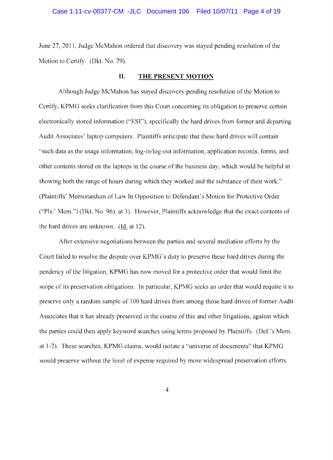June 27, 2011, Judge McMahon ordered that discovery was stayed pending resolution of the Motion to Certify. (Dkt. No. 79).

#### **II. THE PRESENT MOTION**

Although Judge McMahon has stayed discovery pending resolution of the Motion to Certify, KPMG seeks clarification from this Court concerning its obligation to preserve certain electronically stored information ("ESr'), specifically the hard drives from former and departing Audit Associates' laptop computers. Plaintiffs anticipate that these hard drives will contain "such data as the usage information, log-in/log-out information, application records, forms, and other contents stored on the laptops in the course of the business day, which would be helpful in showing both the range of hours during which they worked and the substance of their work." (Plaintiffs' Memorandum of Law In Opposition to Defendant's Motion for Protective Order ("PIs.' Mem.") (Dkt. No. 96), at 3). However, Plaintiffs acknowledge that the exact contents of the hard drives are unknown. (ld. at 12).

After extensive negotiations between the parties and several mediation efforts by the Court failed to resolve the dispute over KPMG's duty to preserve these hard drives during the pendency of the litigation, KPMG has now moved for a protective order that would limit the scope of its preservation obligations. In particular, KPMG seeks an order that would require it to preserve only a random sample of 100 hard drives from among those hard drives of former Audit Associates that it has already preserved in the course of this and other litigations, against which the parties could then apply keyword searches using terms proposed by Plaintiffs. (Def.'s Mem. at 1-2). These searches, KPMG claims, would isolate a "universe of documents" that KPMG would preserve without the level of expense required by more widespread preservation efforts.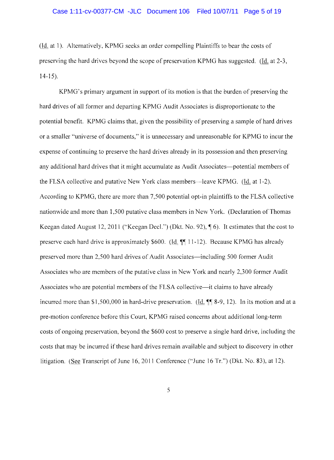(Id. at 1). Alternatively, KPMG seeks an order compelling Plaintiffs to bear the costs of preserving the hard drives beyond the scope of preservation KPMG has suggested. (ld. at 2-3, 14-15).

KPMG's primary argument in support of its motion is that the burden of preserving the hard drives of all former and departing KPMG Audit Associates is disproportionate to the potential benefit. KPMG claims that, given the possibility of preserving a sample of hard drives or a smaller "universe of documents," **it** is unnecessary and unreasonable for KPMG to incur the expense of continuing to preserve the hard drives already in its possession and then preserving any additional hard drives that it might accumulate as Audit Associates—potential members of the FLSA collective and putative New York class members—leave KPMG. (Id. at 1-2). According to KPMG, there are more than 7,500 potential opt-in plaintiffs to the FLSA collective nationwide and more than 1,500 putative class members in New York. (Declaration of Thomas Keegan dated August 12, 2011 ("Keegan Decl.") (Dkt. No. 92),  $\P$  6). It estimates that the cost to preserve each hard drive is approximately \$600. (Id.  $\P$ [11-12). Because KPMG has already preserved more than 2,500 hard drives of Audit Associates—including 500 former Audit Associates who are members of the putative class in New York and nearly 2,300 former Audit Associates who are potential members of the FLSA collective—it claims to have already incurred more than \$1,500,000 in hard-drive preservation. (Id.  $\P$  8-9, 12). In its motion and at a pre-motion conference before this Court, KPMG raised concerns about additional long-term costs of ongoing preservation, beyond the \$600 cost to preserve a single hard drive, including the costs that may be incurred if these hard drives remain available and subject to discovery in other litigation. (See Transcript of June 16, 2011 Conference ("June 16 Tr.") (Dkt. No. 83), at 12).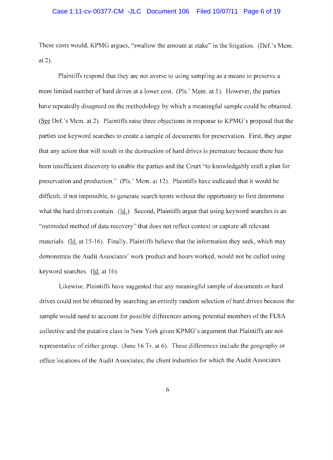These costs would, KPMG argues, "swallow the amount at stake" in the litigation. (Def.'s Mem. at 2).

Plaintiffs respond that they arc not averse to using sampling as a means to preserve a more limited number of hard drives at a lower cost. (Pis.' Mem. at 1). However, the parties have repeatedly disagreed on the methodology by which a meaningful sample could be obtained. (See Def.'s Mem. at 2). Plaintiffs raise three objections in response to KPMG's proposal that the parties use keyword searches to create a sample of documents for preservation. First, they argue that any action that will result in the destruction of hard drives is premature because there has been insufficient discovery to enable the parties and the Court "to knowledgably craft a plan for preservation and production." (Pis.' Mem. at 12). Plaintiffs have indicated that it would be difficult, if not impossible, to generate search terms without the opportunity to first determine what the hard drives contain. (Id.). Second, Plaintiffs argue that using keyword searches is an "outmoded method of data recovery" that does not ref1ect context or capture all relevant materials. (ld. at 15-16). Finally, Plaintiffs believe that the information they seek, which may demonstrate the Audit Associates' work product and hours worked, would not be culled using keyword searches. (Id. at 16).

Likewise, Plaintiffs have suggested that any meaningful sample of documents or hard drives could not be obtained by searching an entirely random selection of hard drives because the sample would need to account for possible differences among potential members of the FLSA collective and the putative class in New York given KPMG's argument that Plaintiffs are not representative of either group. (June 16 Tr. at 6). These differences include the geography or office locations of the Audit Associates; the client industries for which the Audit Associates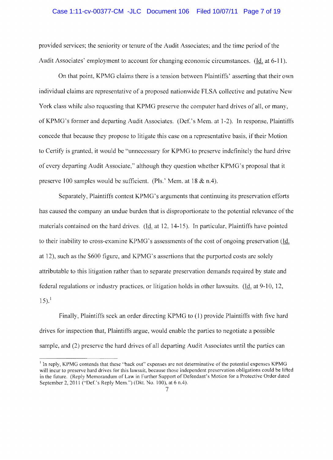## Case 1:11-cv-00377-CM -JLC Document 106 Filed 10/07/11 Page 7 of 19

provided services; the seniority or tenure of the Audit Associates; and the time period of the Audit Associates' employment to account for changing economic circumstances. (Id. at 6-11).

On that point, KPMG claims there is a tension between Plaintiffs' asserting that their own individual claims are representative of a proposed nationwide FLSA collective and putative New York class while also requesting that KPMG preserve the eomputer hard drives of all, or many, ofKPMG's former and departing Audit Associates. (Def.'s Mem. at 1-2). In response, Plaintiffs concede that because they propose to litigate this case on a representative basis, if their Motion to Certify is granted, it would be "unnecessary for KPMG to preserve indefinitely the hard drive of every departing Audit Associate," although they question whether KPMG's proposal that it preserve 100 samples would be sufficient. (Pls.' Mem. at 18  $\&$  n.4).

Separately, Plaintiffs contest KPMG's arguments that continuing its preservation efforts has caused the company an undue burden that is disproportionate to the potential relevance of the materials contained on the hard drives. (Id. at 12, 14-15). In particular, Plaintiffs have pointed to their inability to cross-examine KPMG's assessments of the cost of ongoing preservation (Id. at 12), such as the S600 figure, and KPMG's assertions that the purported costs are solely attributable to this litigation rather than to separate preservation demands required by state and federal regulations or industry practices, or litigation holds in other lawsuits. (ld. at 9-10, 1  $15).<sup>1</sup>$ 

Finally, Plaintiffs seek an order directing KPMG to (l) provide Plaintiffs with five hard drives for inspection that, Plaintiffs argue, would enable the parties to negotiate a possible sample, and (2) preserve the hard drives of all departing Audit Associates until the parties can

 $<sup>1</sup>$  In reply, KPMG contends that these "back out" expenses are not determinative of the potential expenses KPMG</sup> will incur to preserve hard drives for this lawsuit, because those independent preservation obligations could be lifted in the future. (Reply Memorandum of Law in Further Support of Defendant's Motion for a Protective Order dated September 2, 2011 ("Def.'s Reply Mem.") (Dkt. No. 100), at 6 n.4).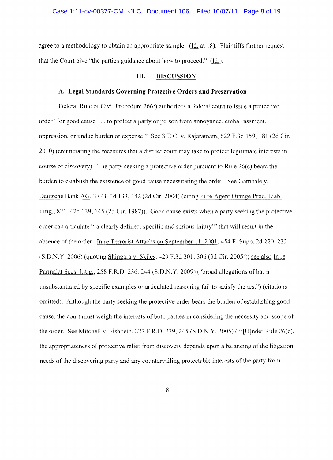agree to a methodology to obtain an appropriate sample. (Id. at 18). Plaintiffs further request that the Court give "the parties guidance about how to proceed." (ld.).

# III. DISCUSSION

#### **A. Legal Standards Governing Protective Orders and Preservation**

Federal Rule of Civil Procedure 26(c) authorizes a federal court to issue a protective order "for good cause ... to protect a party or person from annoyance, embarrassment, oppression, or undue burden or expense." See S.E.C. v. Rajaratnam, 622 F.3d 159, 181 (2d Cir. 2010) (enumerating the measures that a district court may take to protect legitimate interests in course of discovery). The party seeking a protective order pursuant to Rule 26(c) bears the burden to establish the existence of good cause necessitating the order. See Gambale v. Deutsche Bank AG, 377 F.3d 133, 142 (2d Cir. 2004) (citing In re Agent Orange Prod. Liab. Litig., 821 F.2d 139, 145 (2d Cir. 1987)). Good cause exists when a party seeking the protective order can articulate'" a clearly defined, specific and serious injury'" that will result in the absence of the order. In re Terrorist Attacks on September 11, 2001, 454 F. Supp. 2d 220, 222  $(S.D.N.Y. 2006)$  (quoting Shingara v. Skiles, 420 F.3d 301, 306 (3d Cir. 2005)); see also In re Parmalat Secs. Litig., 258 F.R.D. 236, 244 (S.D.N.Y. 2009) ("broad allegations of harm unsubstantiated by specifie examples or articulated reasoning fail to satisfy the test") (eitations omitted). Although the party seeking the protective order bears the burden of establishing good cause, the court must weigh the interests of both parties in considering the necessity and scope of the order. See Mitchell v. Fishbein, 227 F.R.D. 239, 245 (S.D.N.Y. 2005) ("'[U]nder Rule 26(c), the appropriateness of protective relief from discovery depends upon a balancing of the litigation needs of the discovering party and any countervailing protectable interests of the party from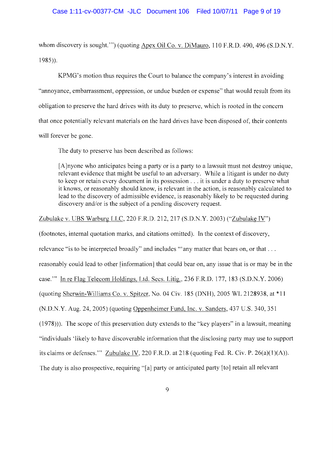whom discovery is sought."") (quoting Apex Oil Co. v. DiMauro, 110 F.R.D. 490, 496 (S.D.N.Y.) 1985)).

KPMG's motion thus requires the Court to balance the company's interest in avoiding "annoyance, embarrassment, oppression, or undue burden or expense" that would result from its obligation to preserve the hard drives with its duty to preserve, which is rooted in the concern that once potentially relevant materials on the hard drives have been disposed of, their contents will forever be gone.

The duty to preserve has been described as follows:

[A]nyone who anticipates being a party or is a party to a lawsuit must not destroy unique, relevant evidence that might be useful to an adversary. While a litigant is under no duty to keep or retain every document in its possession ... it is under a duty to preserve what it knows, or reasonably should know, is relevant in the action, is reasonably calculated to lead to the discovery of admissible evidence, is reasonably likely to be requested during discovery and/or is the subject of a pending discovery request.

Zubulake v. UBS Warburg LLC, 220 F.R.D. 212, 217 (S.D.N.Y. 2003) ("Zubulake IV")

(footnotes, internal quotation marks, and citations omitted). In the context of discovery, relevance "is to be interpreted broadly" and includes "" any matter that bears on, or that ... reasonably could lead to other [information] that could bear on, any issue that is or may be in the case. '" In re Flag Telecom Holdings, Ltd. Secs. Litig., 236 F.R.D. 177, 183 (S.D.N.Y. 2006) (quoting Sherwin-Williams Co. v. Spitzer, No. 04 Civ. 185 (DNH), 2005 WL 2128938, at \*11 (N.D.N.Y. Aug. 24,2005) (quoting Oppenheimer Fund, Inc. v. Sanders, 437 U.S. 340, 351 (1978))). The scope of this preservation duty extends to the "key players" in a lawsuit, meaning "individuals 'likely to have discoverable information that the disclosing party may use to support its claims or defenses."" Zubulake IV, 220 F.R.D. at 218 (quoting Fed. R. Civ. P. 26(a)(1)(A)). The duty is also prospective, requiring "[a] party or anticipated party [to] retain all relevant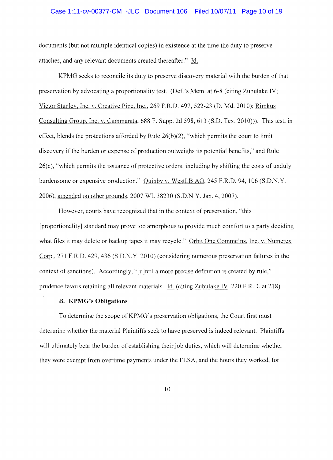## Case 1:11-cv-00377-CM -JLC Document 106 Filed 10/07/11 Page 10 of 19

documents (but not multiple identical copies) in existence at the time the duty to preserve attaches, and any relevant documents created thereafter." Id.

KPMG seeks to reconcile its duty to preserve discovery material with the burden of that preservation by advocating a proportionality test. (Def.'s Mem. at 6-8 (citing Zubulake IV; Victor Stanley, Inc. v. Creative Pipe, Inc., 269 F.R.D. 497, 522-23 (D. Md. 2010); Rimkus Consulting Group, Inc. v. Cammarata, 688 F. Supp. 2d 598, 613 (S.D. Tex. 2010))). This test, in effect, blends the protections afforded by Rule  $26(b)(2)$ , "which permits the court to limit discovery if the burden or expense of production outweighs its potential benefits," and Rule 26(c), "which permits the issuance of protective orders, including by shifting the costs of unduly burdensome or expensive production." Quinby v. WestLB AG, 245 F.R.D. 94, 106 (S.D.N.Y.) 2006), amended on other grounds, 2007 WL 38230 (S.D.N.Y. Jan. 4, 2007).

However, courts have recognized that in the context of preservation, "this [proportionality] standard may prove too amorphous to provide much comfort to a party deciding what files it may delete or backup tapes it may recycle." Orbit One Commc'ns, Inc. v. Numerex Corp., 271 F.R.D. 429, 436 (S.D.N.Y. 2010) (considering numerous preservation failures in the context of sanctions). Accordingly, "[u]ntil a more precise definition is created by rule," prudence favors retaining all relevant materials. Id. (citing Zubulake IV, 220 F.R.D. at 218).

#### **B. KPMG's Obligations**

To determine the scope of KPMG's preservation obligations, the Court first must determine whether the material Plaintiffs seek to have preserved is indeed relevant. Plaintiffs will ultimately bear the burden of establishing their job duties, which will determine whether they were exempt from overtime payments under the FLSA, and the hours they worked, for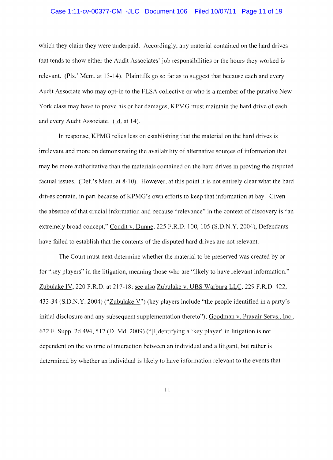# Case 1:11-cv-00377-CM -JLC Document 106 Filed 10/07/11 Page 11 of 19

which they claim they were underpaid. Accordingly, any material contained on the hard drives that tends to show either the Audit Associates' job responsibilities or the hours they worked is relevant. (Pis.' Mem. at 13-14). Plaintiffs go so far as to suggest that because each and every Audit Associate who may opt-in to the FLSA collective or who is a member of the putative New York class may have to prove his or her damages, KPMG must maintain the hard drive of each and every Audit Associate. (Id. at 14).

In response, KPMG relies less on establishing that the material on the hard drives is irrelevant and more on demonstrating the availability of alternative sources of information that may be more authoritative than the materials eontained on the hard drives in proving the disputed factual issues. (Def.'s Mem. at 8-10). However, at this point it is not entirely clear what the hard drives contain, in part because of KPMG's own efforts to keep that information at bay. Given the absence of that crucial information and because "relevance" in the context of discovery is "an extremely broad concept," Condit v. Dunne, 225 F.R.D. 100, 105 (S.D.N.Y. 2004), Defendants have failed to establish that the contents of the disputed hard drives are not relevant.

The Court must next determine whether the material to be preserved was created by or for "key players" in the litigation, meaning those who are "likely to have relevant information." Zubulake IV, 220 F.R.D. at 217-18; see also Zubulake v. UBS Warburg LLC, 229 F.R.D. 422, 433-34 (S.D.N.Y. 2004) ("Zubulake V") (key players include "the people identified in a party's initial disclosure and any subsequent supplementation thereto"); Goodman v. Praxair Servs., Inc., 632 F. Supp. 2d 494, 512 (D. Md. 2009) ("[I]dentifying a 'key player' in litigation is not dependent on the volume of interaction between an individual and a litigant, but rather is determined by whether an individual is likely to have information relevant to the events that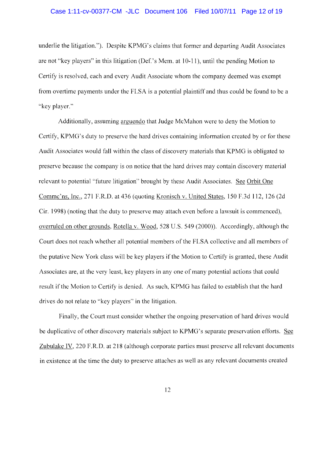## Case 1:11-cv-00377-CM -JLC Document 106 Filed 10/07/11 Page 12 of 19

underlie the litigation."). Despite KPMG's claims that former and departing Audit Associates are not "key players" in this litigation (Def.' s Mem. at 10-11), until the pending Motion to Certify is resolved, each and every Audit Associate whom the company deemed was exempt from overtime payments under the FLSA is a potential plaintiff and thus could be found to be a "key player."

Additionally, assuming arguendo that Judge McMahon were to deny the Motion to Certify, KPMG's duty to preserve the hard drives containing information created by or for these Audit Associates would fall within the class of discovery materials that KPMG is obligated to preserve because the company is on notice that the hard drives may contain discovery material relevant to potential "future litigation" brought by these Audit Associates. See Orbit One Commc'ns, Inc., 271 F.R.D. at 436 (quoting Kronisch v. United States, 150 F.3d 112, 126 (2d Cir. 1998) (noting that the duty to preserve may attach even before a lawsuit is commenced), overruled on other grounds, Rotella v. Wood, 528 U.S. 549 (2000)). Accordingly, although the Court does not reach whether all potential members of the FLSA collective and all members of the putative New York class will be key players if the Motion to Certify is granted, these Audit Associates are, at the very least, key players in any one of many potential actions that could result if the Motion to Certify is denied. As such, KPMG has failed to establish that the hard drives do not relate to "key players" in the litigation.

Finally, the Court must consider whether the ongoing preservation of hard drives would be duplicative of other discovery materials subject to KPMG's separate preservation efforts. See Zubulake IV, 220 F.R.D. at 218 (although corporate parties must preserve all relevant documents in existence at the time the duty to preserve attaches as well as any relevant documents created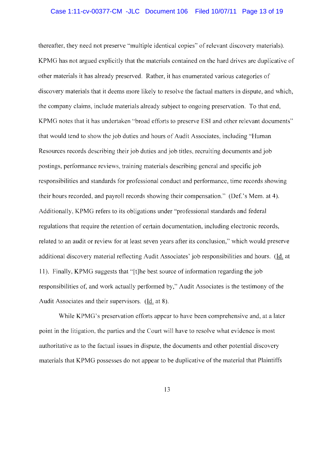#### Case 1:11-cv-00377-CM -JLC Document 106 Filed 10/07/11 Page 13 of 19

thereafter, they need not preserve "multiple identical copies" of relevant discovery materials). KPMG has not argued explicitly that the materials contained on the hard drives are duplicative of other materials it has already preserved. Rather, it has enumerated various categories of discovery materials that it deems more likely to resolve the factual matters in dispute, and which, the company claims, include materials already subject to ongoing preservation. To that end, KPMG notes that it has undertaken "broad efforts to preserve ESI and other relevant documents" that would tend to show the job duties and hours of Audit Associates, including "Human Resources records describing their job duties and job titles, recruiting documents and job postings, performance reviews, training materials describing general and specific job responsibilities and standards for professional conduct and performance, time records showing their hours recorded, and payroll records showing their compensation." (Oef.'s Mem. at 4). Additionally, KPMG refers to its obligations under "professional standards and federal regulations that require the retention of certain documentation, including electronic records, related to an audit or review for at least seven years after its conclusion," which would preserve additional discovery material reflecting Audit Associates' job responsibilities and hours. (ld. at 11). Finally, KPMG suggests that "[t]he best source of information regarding the job responsibilities of, and work actually performed by," Audit Associates is the testimony of the Audit Associates and their supervisors. (Id. at 8).

While KPMG's preservation efforts appear to have been comprehensive and, at a later point in the litigation, the parties and the Court will have to resolve what evidence is most authoritative as to the factual issues in dispute, the documents and other potential discovery materials that KPMG possesses do not appear to be duplicative of the material that Plaintiffs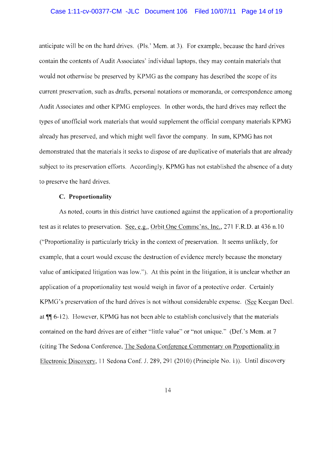## Case 1:11-cv-00377-CM -JLC Document 106 Filed 10/07/11 Page 14 of 19

anticipate will be on the hard drives. (PIs.' Mem. at 3). For example, because the hard drives contain the contents of Audit Associates' individual laptops, they may contain materials that would not otherwise be preserved by KPMG as the company has described the scope of its current preservation, such as drafts, personal notations or memoranda, or correspondence among Audit Associates and other KPMG employees. In other words, the hard drives may reflect the types of unofficial work materials that would supplement the official company materials KPMG already has preserved, and which might well favor the company. In sum, KPMG has not demonstrated that the materials it seeks to dispose of are duplicative of materials that are already subject to its preservation efforts. Accordingly, KPMG has not established the absence of a duty to preserve the hard drives.

#### C. Proportionality

As noted, courts in this district have cautioned against the application of a proportionality test as it relates to preservation. See, e.g., Orbit One Comme'ns, Inc., 271 F.R.D. at 436 n.10 ("Proportionality is particularly tricky in the context of preservation. It seems unlikely, for example, that a court would excuse the destruction of evidence merely because the monetary value of anticipated litigation was low."). At this point in the litigation, it is unclear whether an application of a proportionality test would weigh in favor of a protective order. Certainly KPMG's preservation of the hard drives is not without considerable expense. (See Keegan Decl. at  $\P$ [ $\leq$  6-12). However, KPMG has not been able to establish conclusively that the materials contained on the hard drives are of either "little value" or "not unique." (Def.'s Mem. at 7 (citing The Sedona Conference, The Sedona Conference Commentarv on Proportionality in Electronic Discovery, 11 Sedona Conf. J. 289, 291 (2010) (Principle No. 1)). Until discovery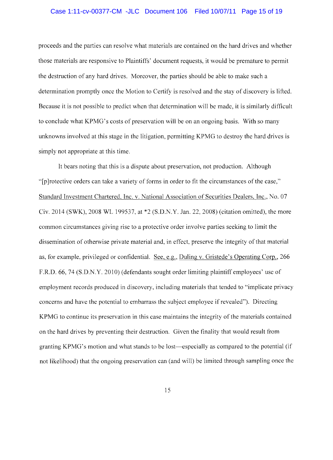## Case 1:11-cv-00377-CM -JLC Document 106 Filed 10/07/11 Page 15 of 19

proceeds and the parties can resolve what materials are contained on the hard drives and whether those materials are responsive to Plaintiffs' document requests, it would be premature to permit the destruction of any hard drives. Moreover, the parties should be able to make such a determination promptly once the Motion to Certify is resolved and the stay of discovery is lifted. Because it is not possible to predict when that determination will be made, it is similarly difficult to conclude what KPMG's costs of preservation will be on an ongoing basis. With so many unknowns involved at this stage in the litigation, permitting KPMG to destroy the hard drives is simply not appropriate at this time.

It bears noting that this is a dispute about preservation, not production. Although "[p Jrotective orders can take a variety of forms in order to fit the circumstances of the case," Standard Investment Chartered, Inc. v. National Association of Securities Dealers, Inc., No. 07 Civ. 2014 (SWK), 2008 WL 199537, at \*2 (S.D.N.Y. Jan. 22, 2008) (citation omitted), the more common circumstances giving rise to a protective order involve parties seeking to limit the dissemination of otherwise private material and, in effect, preserve the integrity of that material as, for example, privileged or confidential. See, e.g., Duling v. Gristede's Operating Corp., 266 F.R.D. 66, 74 (S.D.N.Y. 2010) (defendants sought order limiting plaintiff employees' use of employment records produced in discovery, including materials that tended to "implicate privacy concerns and have the potential to embarrass the subject employee if revealed"). Directing KPMG to continue its preservation in this case maintains the integrity of the materials contained on the hard drives by preventing their destruction. Given the finality that would result from granting KPMG's motion and what stands to be lost-especially as compared to the potential (if not likelihood) that the ongoing preservation can (and will) be limited through sampling once the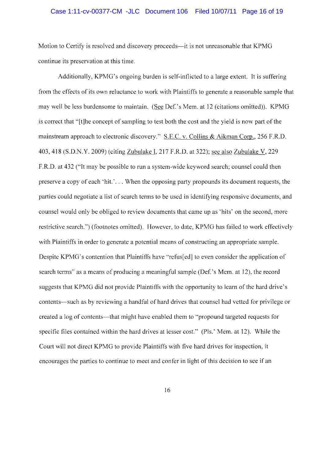# Case 1:11-cv-00377-CM -JLC Document 106 Filed 10/07/11 Page 16 of 19

Motion to Certify is resolved and discovery proceeds—it is not unreasonable that KPMG continue its preservation at this time.

Additionally, KPMG's ongoing burden is self-inflicted to a large extent. It is suffering from the effects of its own reluctance to work with Plaintiffs to generate a reasonable sample that may well be less burdensome to maintain. (See Def.'s Mem. at 12 (citations omitted)). KPMG is correct that "[t]he concept of sampling to test both the cost and the yield is now part of the mainstream approach to electronic discovery." S.E.C. v. Collins & Aikman Corp., 256 F.R.D. 403, 418 (S.D.N.Y. 2009) (citing Zubulake I, 217 F.R.D. at 322); see also Zubulake V, 229 F.R.D. at 432 ("It may be possible to run a system-wide keyword search; counsel could then preserve a copy of each 'hit.' ... When the opposing party propounds its document requests, the parties could negotiate a list of search terms to be used in identifying responsive documents, and counsel would only be obliged to review documents that came up as 'hits' on the second, more restrictive search.") (footnotes omitted). However, to date, KPMG has failed to work effectively with Plaintiffs in order to generate a potential means of constructing an appropriate sample. Despite KPMG's contention that Plaintiffs have "refus[ed] to even consider the application of search terms" as a means of producing a meaningful sample (Def.'s Mem. at 12), the record suggests that KPMG did not provide Plaintiffs with the opportunity to learn of the hard drive's contents—such as by reviewing a handful of hard drives that counsel had vetted for privilege or created a log of contents—that might have enabled them to "propound targeted requests for specific files contained within the hard drives at lesser cost." (Pls.' Mem. at 12). While the Court will not direct KPMG to provide Plaintiffs with five hard drives for inspection, it encourages the parties to continue to meet and confer in light of this decision to see if an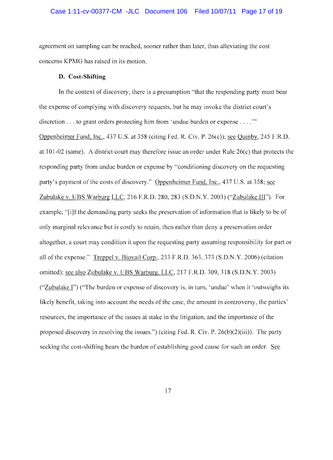# Case 1:11-cv-00377-CM -JLC Document 106 Filed 10/07/11 Page 17 of 19

agreement on sampling can be reached, sooner rather than later, thus alleviating the cost concerns KPMG has raised in its motion.

## **D. Cost-Shifting**

In the context of discovery, there is a presumption "that the responding party must bear the expense of complying with discovery requests, but he may invoke the district court's discretion  $\dots$  to grant orders protecting him from 'undue burden or expense  $\dots$ ." Oppenheimer Fund, Inc., 437 U.S. at 358 (citing Fed. R. Civ. P. 26(c)); see Quinby, 245 F.R.D. at 101-02 (same). A district court may therefore issue an order under Rule 26(c) that protects the responding party from undue burden or expense by "conditioning discovery on the requesting party's payment of the costs of discovery." Oppenheimer Fund, Inc., 437 U.S. at 358; see Zubulake v. UBS Warburg LLC, 216 F.R.D. 280, 283 (S.D.N.Y. 2003) ("Zubulake III"). For example, "[i]f the demanding party seeks the preservation of information that is likely to be of only marginal relevance but is costly to retain, then rather than deny a preservation order altogether, a court may condition it upon the requesting party assuming responsibility for part or all of the expense." Treppel v. Biovail Corp., 233 F.R.D. 363, 373 (S.D.N.Y. 2006) (citation omitted); see also Zubulake v. UBS Warburg, LLC, 217 F.R.D. 309, 318 (S.D.N.Y. 2003) ("Zubulake I") ("The burden or expense of discovery is, in turn, 'undue' when it 'outweighs its likely benefit, taking into aceount the needs of the case, the amount in controversy, the parties' resources, the importance of the issues at stake in the litigation, and the importance of the proposed discovery in resolving the issues.") (citing Fed. R. Civ. P.  $26(b)(2)(iii)$ ). The party seeking the cost-shifting bears the burden of establishing good cause for such an order. See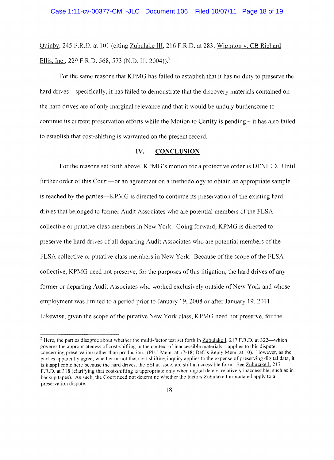Quinbv, 245 F.R.D. at 101 (citing Zubulake **III,** 216 F.R.D. at 283; Wiginton v. CB Richard Ellis, Inc., 229 F.R.D. 568, 573 (N.D. Ill. 2004)).<sup>2</sup>

For the same reasons that KPMG has failed to establish that it has no duty to preserve the hard drives—specifically, it has failed to demonstrate that the discovery materials contained on the hard drives are of only marginal relevance and that it would be unduly burdensome to continue its current preservation efforts while the Motion to Certify is pending—it has also failed to establish that cost-shifting is warranted on the present record.

## **IV. CONCLUSION**

For the reasons set forth above, KPMG's motion for a protective order is DENIED. Until further order of this Court—or an agreement on a methodology to obtain an appropriate sample is reached by the parties—KPMG is directed to continue its preservation of the existing hard drives that belonged to former Audit Associates who are potential members of the FLSA eollective or putative class members in New York. Going forward, KPMG is directed to preserve the hard drives of all departing Audit Associates who are potential members of the FLSA collective or putative class members in New York. Because of the scope of the FLSA collective, KPMG need not preserve, for the purposes of this litigation, the hard drives of any former or departing Audit Associates who worked exclusively outside of New York and whose employment was limited to a period prior to January 19,2008 or after January 19,2011. Likewise, given the scope of the putative New York class, KPMG need not preserve, for the

 $2$  Here, the parties disagree about whether the multi-factor test set forth in Zubulake I, 217 F.R.D. at 322—which governs the appropriateness of cost-shifting in the context of inaccessible materials-applies to this dispute concerning preservation rather than production. (PIs.' Mem. at 17-18; Def.'s Reply Mem. at 10). However, as the parties apparently agree, whether or not that cost-shifting inquiry applies to the expense of preserving digital data, it is inapplicable here because the hard drives, the ESI at issue, are still in accessible form. See Zubulake I, 217 F.R.D. at 318 (clarifying that cost-shifting is appropriate only when digital data is relatively inaccessible, such as in backup tapes). As such, the Court need not determine whether the factors Zubulake I articulated apply to a preservation dispute.